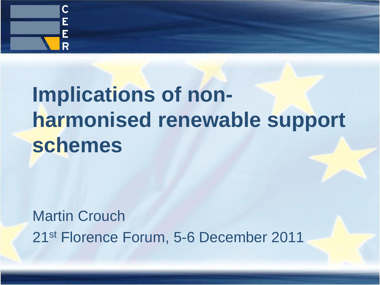

# **Implications of nonharmonised renewable support schemes**

Martin Crouch 21st Florence Forum, 5-6 December 2011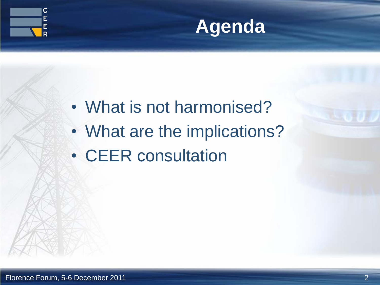



- What is not harmonised?
- What are the implications?
- CEER consultation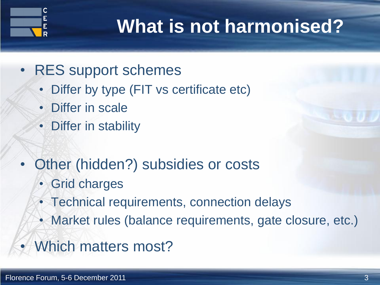

## **What is not harmonised?**

- RES support schemes
	- Differ by type (FIT vs certificate etc)
	- **Differ in scale**
	- Differ in stability
- Other (hidden?) subsidies or costs
	- Grid charges
	- Technical requirements, connection delays
	- Market rules (balance requirements, gate closure, etc.)
- Which matters most?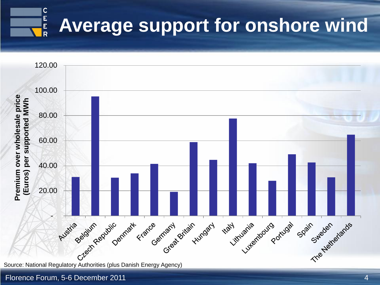



#### Florence Forum, 5-6 December 2011 4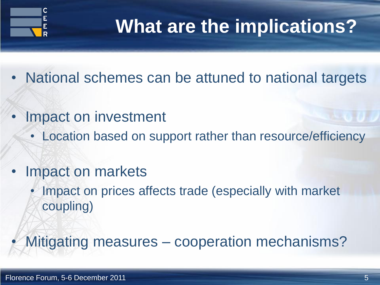

### **What are the implications?**

- National schemes can be attuned to national targets
- Impact on investment
	- Location based on support rather than resource/efficiency
- Impact on markets
	- Impact on prices affects trade (especially with market coupling)

• Mitigating measures – cooperation mechanisms?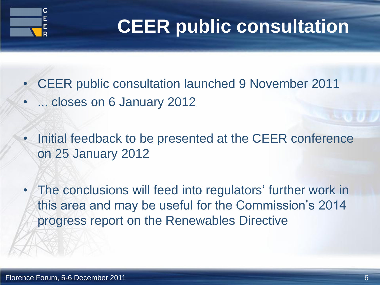

## **CEER public consultation**

- CEER public consultation launched 9 November 2011
- ... closes on 6 January 2012
- Initial feedback to be presented at the CEER conference on 25 January 2012
- The conclusions will feed into regulators' further work in this area and may be useful for the Commission's 2014 progress report on the Renewables Directive